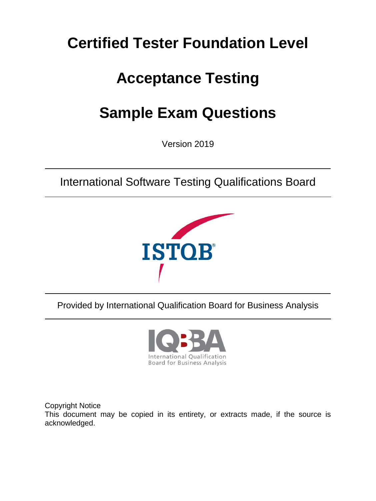### **Certified Tester Foundation Level**

## **Acceptance Testing**

# **Sample Exam Questions**

Version 2019

International Software Testing Qualifications Board



Provided by International Qualification Board for Business Analysis



Copyright Notice This document may be copied in its entirety, or extracts made, if the source is acknowledged.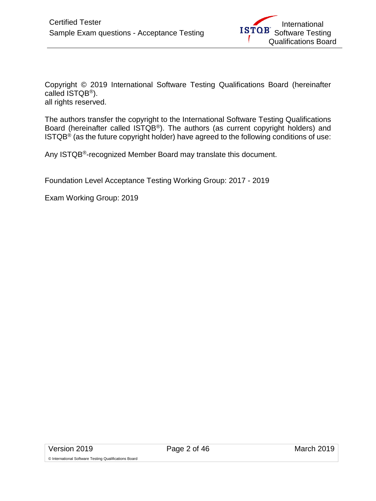Copyright © 2019 International Software Testing Qualifications Board (hereinafter called ISTQB®). all rights reserved.

The authors transfer the copyright to the International Software Testing Qualifications Board (hereinafter called ISTQB®). The authors (as current copyright holders) and  $ISTQB<sup>®</sup>$  (as the future copyright holder) have agreed to the following conditions of use:

Any ISTQB®-recognized Member Board may translate this document.

Foundation Level Acceptance Testing Working Group: 2017 - 2019

Exam Working Group: 2019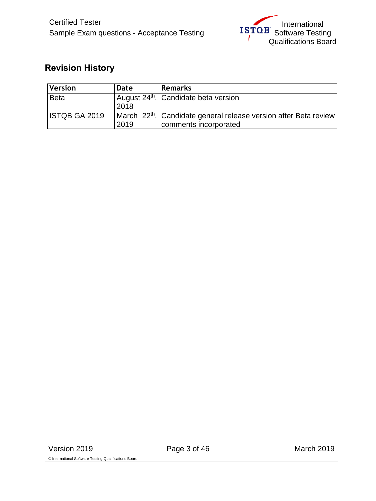### <span id="page-2-0"></span>**Revision History**

| <b>Version</b>       | Date | <b>Remarks</b>                                                               |
|----------------------|------|------------------------------------------------------------------------------|
| <b>Beta</b>          |      | August 24 <sup>th</sup> , Candidate beta version                             |
|                      | 2018 |                                                                              |
| <b>ISTQB GA 2019</b> |      | March 22 <sup>th</sup> , Candidate general release version after Beta review |
|                      | 2019 | comments incorporated                                                        |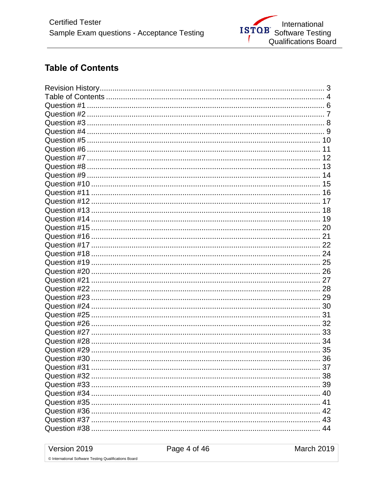### <span id="page-3-0"></span>**Table of Contents**

| 37 |
|----|
|    |
|    |
|    |
|    |
|    |
|    |
|    |

Version 2019

March 2019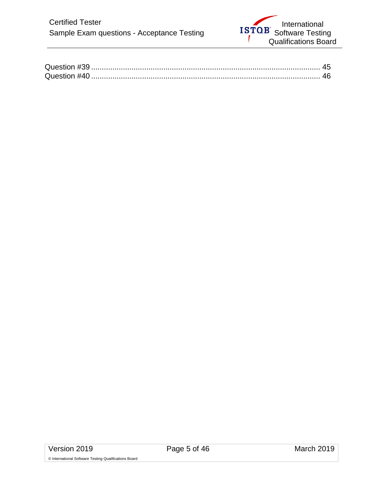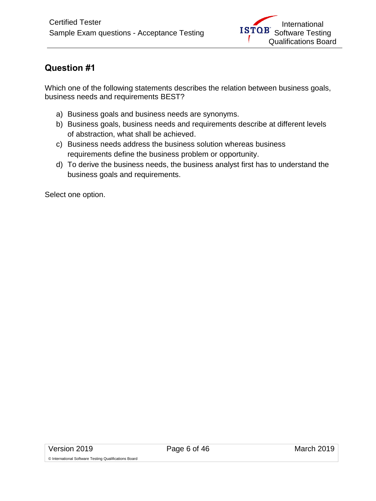<span id="page-5-0"></span>Which one of the following statements describes the relation between business goals, business needs and requirements BEST?

- a) Business goals and business needs are synonyms.
- b) Business goals, business needs and requirements describe at different levels of abstraction, what shall be achieved.
- c) Business needs address the business solution whereas business requirements define the business problem or opportunity.
- d) To derive the business needs, the business analyst first has to understand the business goals and requirements.

Select one option.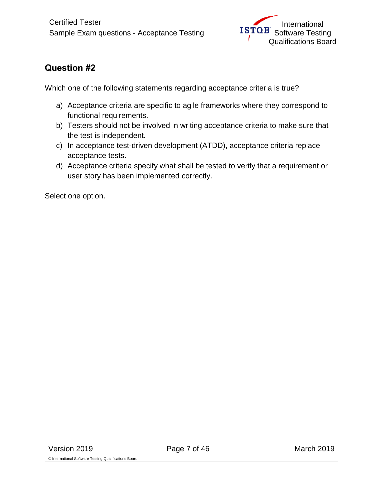<span id="page-6-0"></span>Which one of the following statements regarding acceptance criteria is true?

- a) Acceptance criteria are specific to agile frameworks where they correspond to functional requirements.
- b) Testers should not be involved in writing acceptance criteria to make sure that the test is independent.
- c) In acceptance test-driven development (ATDD), acceptance criteria replace acceptance tests.
- d) Acceptance criteria specify what shall be tested to verify that a requirement or user story has been implemented correctly.

Select one option.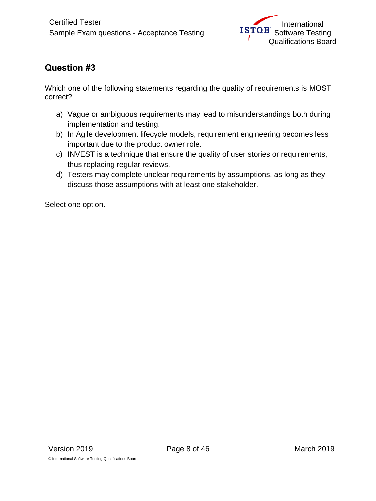<span id="page-7-0"></span>Which one of the following statements regarding the quality of requirements is MOST correct?

- a) Vague or ambiguous requirements may lead to misunderstandings both during implementation and testing.
- b) In Agile development lifecycle models, requirement engineering becomes less important due to the product owner role.
- c) INVEST is a technique that ensure the quality of user stories or requirements, thus replacing regular reviews.
- d) Testers may complete unclear requirements by assumptions, as long as they discuss those assumptions with at least one stakeholder.

Select one option.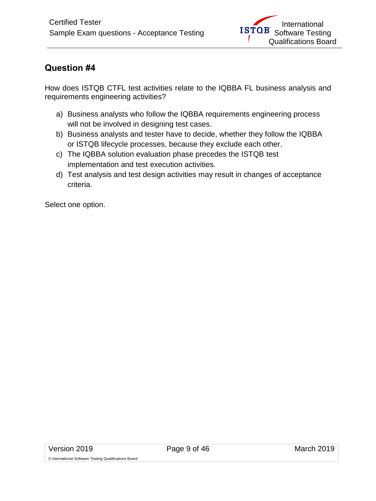<span id="page-8-0"></span>How does ISTQB CTFL test activities relate to the IQBBA FL business analysis and requirements engineering activities?

- a) Business analysts who follow the IQBBA requirements engineering process will not be involved in designing test cases.
- b) Business analysts and tester have to decide, whether they follow the IQBBA or ISTQB lifecycle processes, because they exclude each other.
- c) The IQBBA solution evaluation phase precedes the ISTQB test implementation and test execution activities.
- d) Test analysis and test design activities may result in changes of acceptance criteria.

Select one option.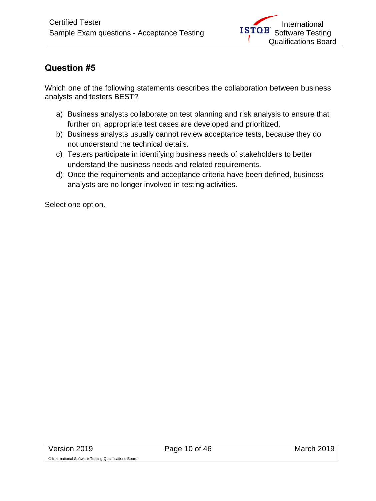<span id="page-9-0"></span>Which one of the following statements describes the collaboration between business analysts and testers BEST?

- a) Business analysts collaborate on test planning and risk analysis to ensure that further on, appropriate test cases are developed and prioritized.
- b) Business analysts usually cannot review acceptance tests, because they do not understand the technical details.
- c) Testers participate in identifying business needs of stakeholders to better understand the business needs and related requirements.
- d) Once the requirements and acceptance criteria have been defined, business analysts are no longer involved in testing activities.

Select one option.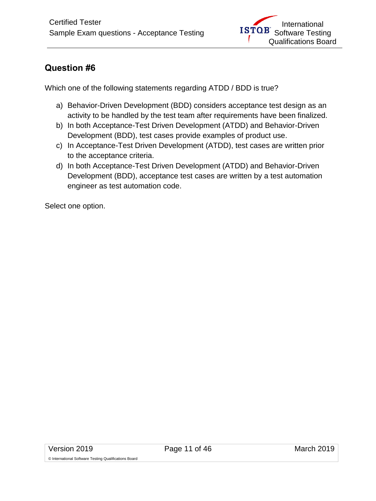<span id="page-10-0"></span>Which one of the following statements regarding ATDD / BDD is true?

- a) Behavior-Driven Development (BDD) considers acceptance test design as an activity to be handled by the test team after requirements have been finalized.
- b) In both Acceptance-Test Driven Development (ATDD) and Behavior-Driven Development (BDD), test cases provide examples of product use.
- c) In Acceptance-Test Driven Development (ATDD), test cases are written prior to the acceptance criteria.
- d) In both Acceptance-Test Driven Development (ATDD) and Behavior-Driven Development (BDD), acceptance test cases are written by a test automation engineer as test automation code.

Select one option.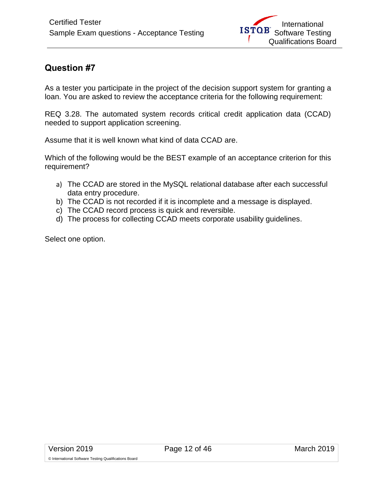<span id="page-11-0"></span>As a tester you participate in the project of the decision support system for granting a loan. You are asked to review the acceptance criteria for the following requirement:

REQ 3.28. The automated system records critical credit application data (CCAD) needed to support application screening.

Assume that it is well known what kind of data CCAD are.

Which of the following would be the BEST example of an acceptance criterion for this requirement?

- a) The CCAD are stored in the MySQL relational database after each successful data entry procedure.
- b) The CCAD is not recorded if it is incomplete and a message is displayed.
- c) The CCAD record process is quick and reversible.
- d) The process for collecting CCAD meets corporate usability guidelines.

Select one option.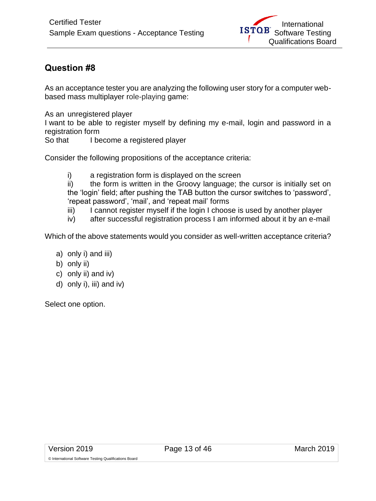<span id="page-12-0"></span>As an acceptance tester you are analyzing the following user story for a computer webbased mass multiplayer role-playing game:

As an unregistered player

I want to be able to register myself by defining my e-mail, login and password in a registration form<br>So that I be

I become a registered player

Consider the following propositions of the acceptance criteria:

i) a registration form is displayed on the screen

ii) the form is written in the Groovy language; the cursor is initially set on the 'login' field; after pushing the TAB button the cursor switches to 'password', 'repeat password', 'mail', and 'repeat mail' forms

- iii) I cannot register myself if the login I choose is used by another player
- iv) after successful registration process I am informed about it by an e-mail

Which of the above statements would you consider as well-written acceptance criteria?

- a) only i) and iii)
- b) only ii)
- c) only ii) and iv)
- d) only i), iii) and iv)

Select one option.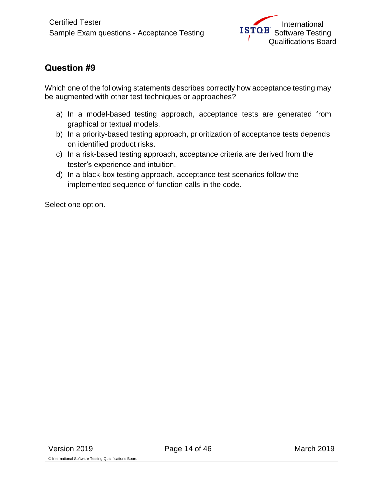<span id="page-13-0"></span>Which one of the following statements describes correctly how acceptance testing may be augmented with other test techniques or approaches?

- a) In a model-based testing approach, acceptance tests are generated from graphical or textual models.
- b) In a priority-based testing approach, prioritization of acceptance tests depends on identified product risks.
- c) In a risk-based testing approach, acceptance criteria are derived from the tester's experience and intuition.
- d) In a black-box testing approach, acceptance test scenarios follow the implemented sequence of function calls in the code.

Select one option.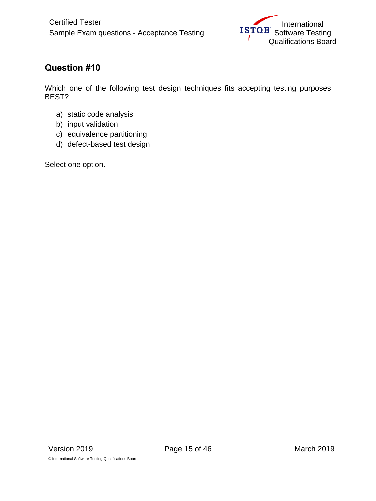<span id="page-14-0"></span>Which one of the following test design techniques fits accepting testing purposes BEST?

- a) static code analysis
- b) input validation
- c) equivalence partitioning
- d) defect-based test design

Select one option.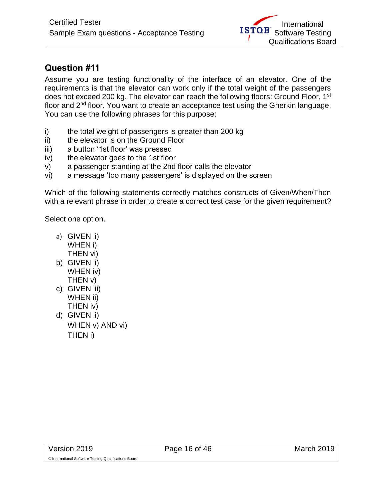<span id="page-15-0"></span>Assume you are testing functionality of the interface of an elevator. One of the requirements is that the elevator can work only if the total weight of the passengers does not exceed 200 kg. The elevator can reach the following floors: Ground Floor, 1<sup>st</sup> floor and 2nd floor. You want to create an acceptance test using the Gherkin language. You can use the following phrases for this purpose:

- i) the total weight of passengers is greater than 200 kg
- ii) the elevator is on the Ground Floor
- iii) a button '1st floor' was pressed
- iv) the elevator goes to the 1st floor
- v) a passenger standing at the 2nd floor calls the elevator
- vi) a message 'too many passengers' is displayed on the screen

Which of the following statements correctly matches constructs of Given/When/Then with a relevant phrase in order to create a correct test case for the given requirement?

Select one option.

- a) GIVEN ii) WHEN i) THEN vi)
- b) GIVEN ii) WHEN iv) THEN v)
- c) GIVEN iii) WHEN ii) THEN iv)
- d) GIVEN ii) WHEN v) AND vi) THEN i)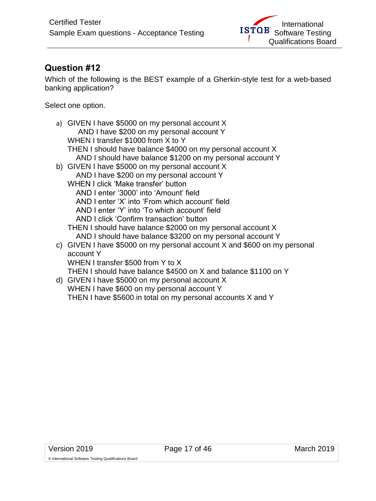<span id="page-16-0"></span>Which of the following is the BEST example of a Gherkin-style test for a web-based banking application?

Select one option.

| a) GIVEN I have \$5000 on my personal account X                          |
|--------------------------------------------------------------------------|
| AND I have \$200 on my personal account Y                                |
| WHEN I transfer \$1000 from X to Y                                       |
| THEN I should have balance \$4000 on my personal account X               |
| AND I should have balance \$1200 on my personal account Y                |
| b) GIVEN I have \$5000 on my personal account X                          |
| AND I have \$200 on my personal account Y                                |
| WHEN I click 'Make transfer' button                                      |
| AND I enter '3000' into 'Amount' field                                   |
| AND I enter 'X' into 'From which account' field                          |
| AND I enter 'Y' into 'To which account' field                            |
| AND I click 'Confirm transaction' button                                 |
| THEN I should have balance \$2000 on my personal account X               |
| AND I should have balance \$3200 on my personal account Y                |
| c) GIVEN I have \$5000 on my personal account X and \$600 on my personal |
| account Y                                                                |
| WHEN I transfer \$500 from Y to X                                        |
| THEN I should have balance \$4500 on X and balance \$1100 on Y           |
| d) GIVEN I have \$5000 on my personal account X                          |
| WHEN I have \$600 on my personal account Y                               |
|                                                                          |

THEN I have \$5600 in total on my personal accounts X and Y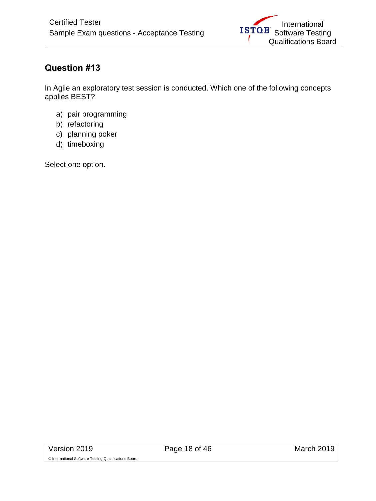<span id="page-17-0"></span>In Agile an exploratory test session is conducted. Which one of the following concepts applies BEST?

- a) pair programming
- b) refactoring
- c) planning poker
- d) timeboxing

Select one option.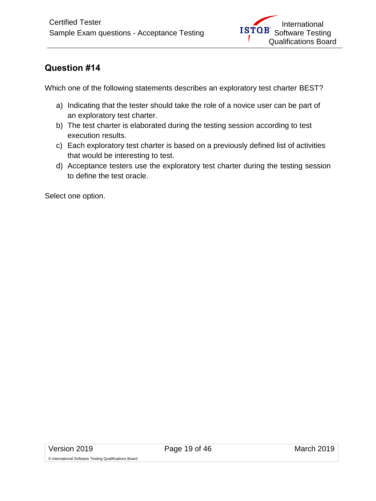<span id="page-18-0"></span>Which one of the following statements describes an exploratory test charter BEST?

- a) Indicating that the tester should take the role of a novice user can be part of an exploratory test charter.
- b) The test charter is elaborated during the testing session according to test execution results.
- c) Each exploratory test charter is based on a previously defined list of activities that would be interesting to test.
- d) Acceptance testers use the exploratory test charter during the testing session to define the test oracle.

Select one option.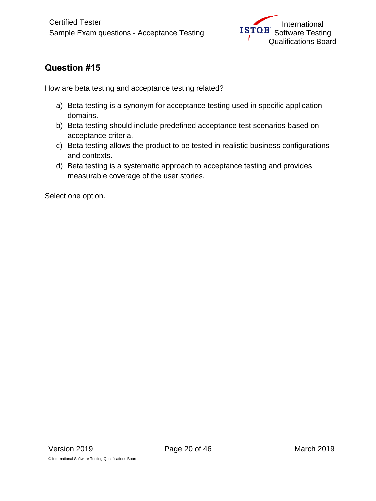<span id="page-19-0"></span>How are beta testing and acceptance testing related?

- a) Beta testing is a synonym for acceptance testing used in specific application domains.
- b) Beta testing should include predefined acceptance test scenarios based on acceptance criteria.
- c) Beta testing allows the product to be tested in realistic business configurations and contexts.
- d) Beta testing is a systematic approach to acceptance testing and provides measurable coverage of the user stories.

Select one option.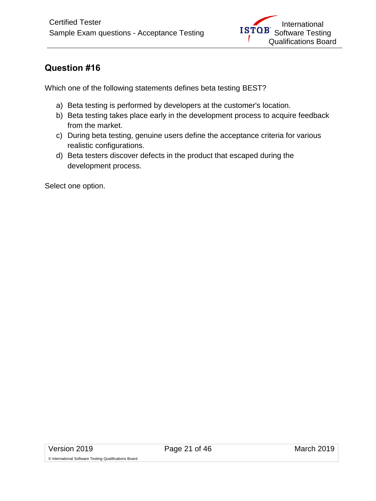<span id="page-20-0"></span>Which one of the following statements defines beta testing BEST?

- a) Beta testing is performed by developers at the customer's location.
- b) Beta testing takes place early in the development process to acquire feedback from the market.
- c) During beta testing, genuine users define the acceptance criteria for various realistic configurations.
- d) Beta testers discover defects in the product that escaped during the development process.

Select one option.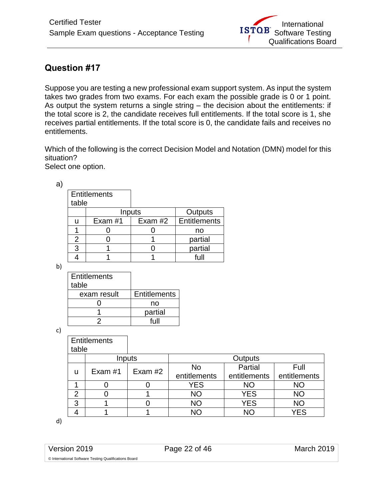<span id="page-21-0"></span>Suppose you are testing a new professional exam support system. As input the system takes two grades from two exams. For each exam the possible grade is 0 or 1 point. As output the system returns a single string – the decision about the entitlements: if the total score is 2, the candidate receives full entitlements. If the total score is 1, she receives partial entitlements. If the total score is 0, the candidate fails and receives no entitlements.

Which of the following is the correct Decision Model and Notation (DMN) model for this situation?

Select one option.

| a |                     |         |           |              |
|---|---------------------|---------|-----------|--------------|
|   | <b>Entitlements</b> |         |           |              |
|   | table               |         |           |              |
|   |                     |         | Inputs    | Outputs      |
|   | u                   | Exam #1 | Exam $#2$ | Entitlements |
|   |                     |         |           | no           |
|   | 2                   |         |           | partial      |
|   | 3                   |         |           | partial      |
|   |                     |         |           |              |

b)

| <b>Entitlements</b> |                     |
|---------------------|---------------------|
| table               |                     |
| exam result         | <b>Entitlements</b> |
|                     | no                  |
|                     | partial             |
|                     | full                |

c)

|               | <b>Entitlements</b> |           |              |              |              |
|---------------|---------------------|-----------|--------------|--------------|--------------|
| table         |                     |           |              |              |              |
|               | Inputs              |           | Outputs      |              |              |
|               | Exam #1             | Exam $#2$ | No           | Partial      | Full         |
| u             |                     |           | entitlements | entitlements | entitlements |
|               |                     |           | <b>YES</b>   | <b>NO</b>    | ΝO           |
| $\mathcal{P}$ |                     |           | <b>NO</b>    | <b>YES</b>   | <b>NO</b>    |
| 3             |                     |           | <b>NO</b>    | <b>YES</b>   | <b>NO</b>    |
|               |                     |           | NΩ           | NΟ           | <b>YES</b>   |

d)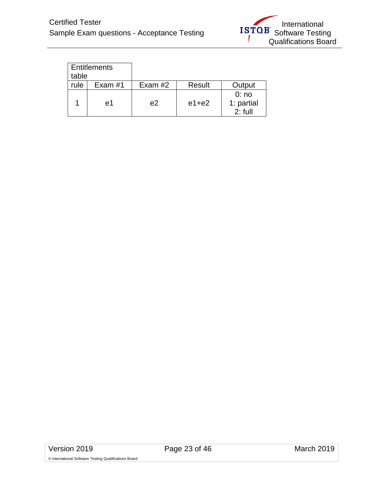

| <b>Entitlements</b><br>table |           |         |           |                                 |
|------------------------------|-----------|---------|-----------|---------------------------------|
| rule                         | Exam $#1$ | Exam #2 | Result    | Output                          |
|                              | e1        | e2      | $e1 + e2$ | 0:no<br>1: partial<br>$2:$ full |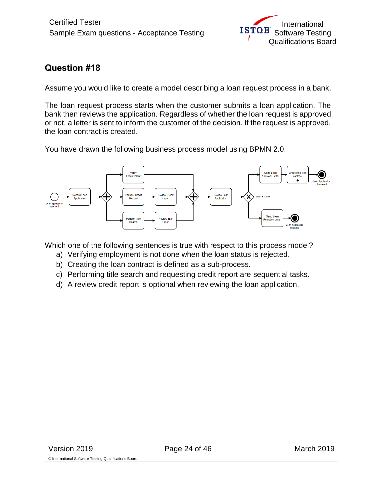<span id="page-23-0"></span>Assume you would like to create a model describing a loan request process in a bank.

The loan request process starts when the customer submits a loan application. The bank then reviews the application. Regardless of whether the loan request is approved or not, a letter is sent to inform the customer of the decision. If the request is approved, the loan contract is created.

You have drawn the following business process model using BPMN 2.0.



Which one of the following sentences is true with respect to this process model?

- a) Verifying employment is not done when the loan status is rejected.
- b) Creating the loan contract is defined as a sub-process.
- c) Performing title search and requesting credit report are sequential tasks.
- d) A review credit report is optional when reviewing the loan application.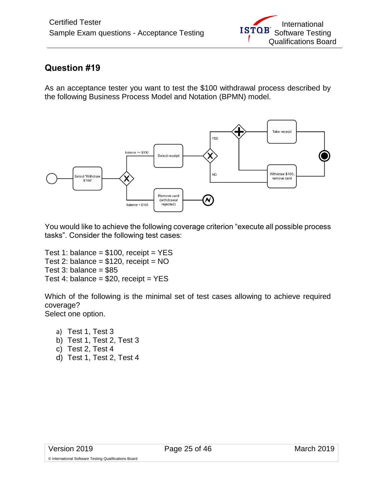<span id="page-24-0"></span>As an acceptance tester you want to test the \$100 withdrawal process described by the following Business Process Model and Notation (BPMN) model.



You would like to achieve the following coverage criterion "execute all possible process tasks". Consider the following test cases:

Test 1: balance =  $$100$ , receipt = YES Test 2: balance =  $$120$ , receipt = NO Test 3: balance =  $$85$ Test 4: balance =  $$20$ , receipt = YES

Which of the following is the minimal set of test cases allowing to achieve required coverage? Select one option.

a) Test 1, Test 3 b) Test 1, Test 2, Test 3 c) Test 2, Test 4 d) Test 1, Test 2, Test 4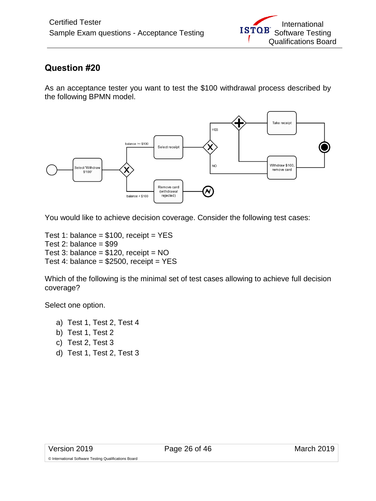<span id="page-25-0"></span>As an acceptance tester you want to test the \$100 withdrawal process described by the following BPMN model.



You would like to achieve decision coverage. Consider the following test cases:

Test 1: balance =  $$100$ , receipt = YES Test 2: balance  $= $99$ Test 3: balance =  $$120$ , receipt = NO Test 4: balance =  $$2500$ , receipt = YES

Which of the following is the minimal set of test cases allowing to achieve full decision coverage?

Select one option.

- a) Test 1, Test 2, Test 4
- b) Test 1, Test 2
- c) Test 2, Test 3
- d) Test 1, Test 2, Test 3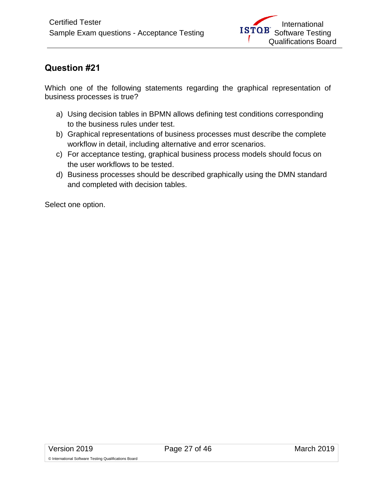<span id="page-26-0"></span>Which one of the following statements regarding the graphical representation of business processes is true?

- a) Using decision tables in BPMN allows defining test conditions corresponding to the business rules under test.
- b) Graphical representations of business processes must describe the complete workflow in detail, including alternative and error scenarios.
- c) For acceptance testing, graphical business process models should focus on the user workflows to be tested.
- d) Business processes should be described graphically using the DMN standard and completed with decision tables.

Select one option.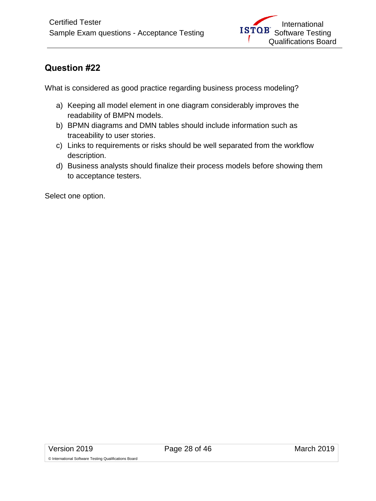<span id="page-27-0"></span>What is considered as good practice regarding business process modeling?

- a) Keeping all model element in one diagram considerably improves the readability of BMPN models.
- b) BPMN diagrams and DMN tables should include information such as traceability to user stories.
- c) Links to requirements or risks should be well separated from the workflow description.
- d) Business analysts should finalize their process models before showing them to acceptance testers.

Select one option.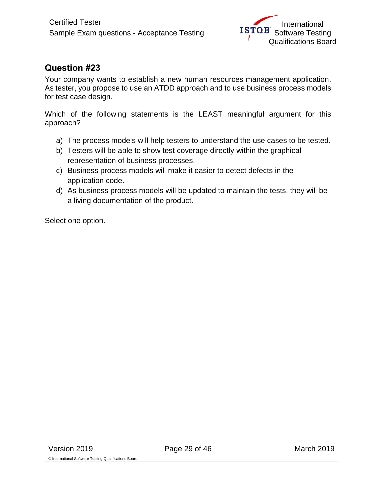<span id="page-28-0"></span>Your company wants to establish a new human resources management application. As tester, you propose to use an ATDD approach and to use business process models for test case design.

Which of the following statements is the LEAST meaningful argument for this approach?

- a) The process models will help testers to understand the use cases to be tested.
- b) Testers will be able to show test coverage directly within the graphical representation of business processes.
- c) Business process models will make it easier to detect defects in the application code.
- d) As business process models will be updated to maintain the tests, they will be a living documentation of the product.

Select one option.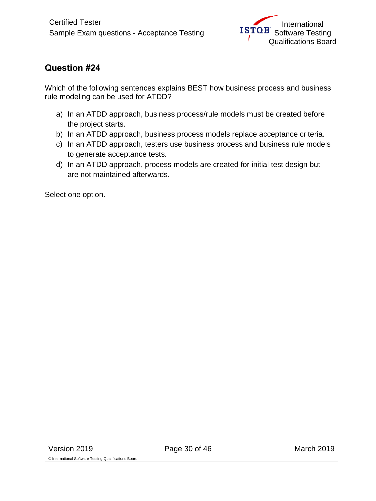<span id="page-29-0"></span>Which of the following sentences explains BEST how business process and business rule modeling can be used for ATDD?

- a) In an ATDD approach, business process/rule models must be created before the project starts.
- b) In an ATDD approach, business process models replace acceptance criteria.
- c) In an ATDD approach, testers use business process and business rule models to generate acceptance tests.
- d) In an ATDD approach, process models are created for initial test design but are not maintained afterwards.

Select one option.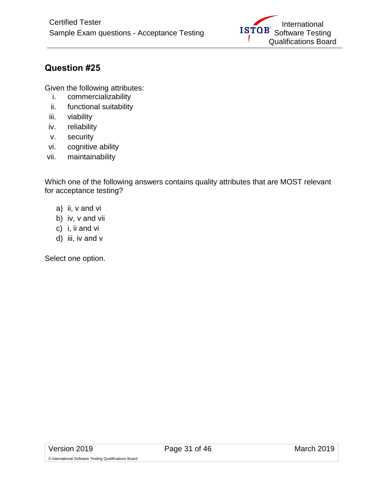

<span id="page-30-0"></span>Given the following attributes:

- i. commercializability
- ii. functional suitability
- iii. viability
- iv. reliability
- v. security
- vi. cognitive ability
- vii. maintainability

Which one of the following answers contains quality attributes that are MOST relevant for acceptance testing?

- a) ii, v and vi
- b) iv, v and vii
- c) i, ii and vi
- d) iii, iv and v

Select one option.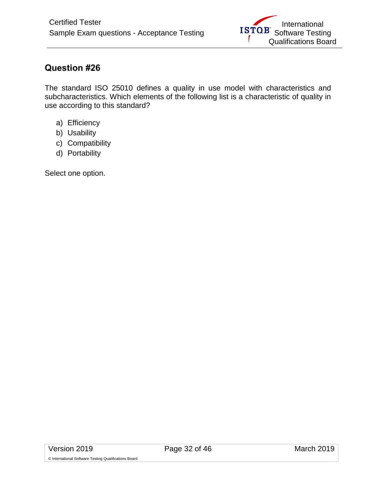<span id="page-31-0"></span>The standard ISO 25010 defines a quality in use model with characteristics and subcharacteristics. Which elements of the following list is a characteristic of quality in use according to this standard?

- a) Efficiency
- b) Usability
- c) Compatibility
- d) Portability

Select one option.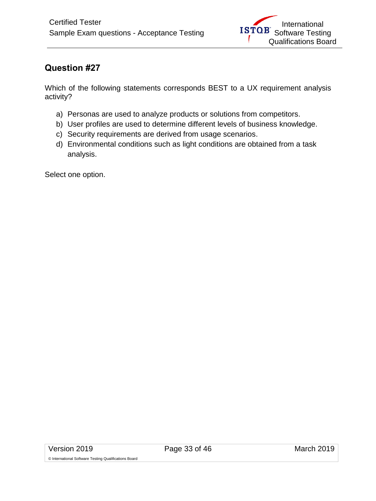<span id="page-32-0"></span>Which of the following statements corresponds BEST to a UX requirement analysis activity?

- a) Personas are used to analyze products or solutions from competitors.
- b) User profiles are used to determine different levels of business knowledge.
- c) Security requirements are derived from usage scenarios.
- d) Environmental conditions such as light conditions are obtained from a task analysis.

Select one option.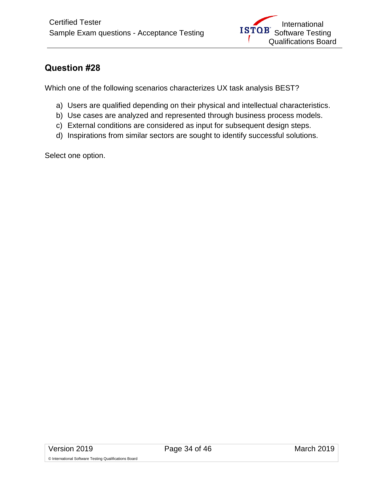<span id="page-33-0"></span>Which one of the following scenarios characterizes UX task analysis BEST?

- a) Users are qualified depending on their physical and intellectual characteristics.
- b) Use cases are analyzed and represented through business process models.
- c) External conditions are considered as input for subsequent design steps.
- d) Inspirations from similar sectors are sought to identify successful solutions.

Select one option.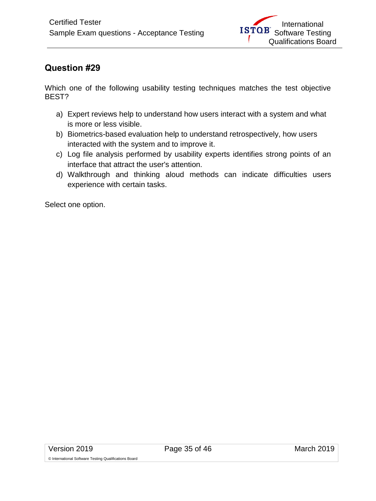<span id="page-34-0"></span>Which one of the following usability testing techniques matches the test objective BEST?

- a) Expert reviews help to understand how users interact with a system and what is more or less visible.
- b) Biometrics-based evaluation help to understand retrospectively, how users interacted with the system and to improve it.
- c) Log file analysis performed by usability experts identifies strong points of an interface that attract the user's attention.
- d) Walkthrough and thinking aloud methods can indicate difficulties users experience with certain tasks.

Select one option.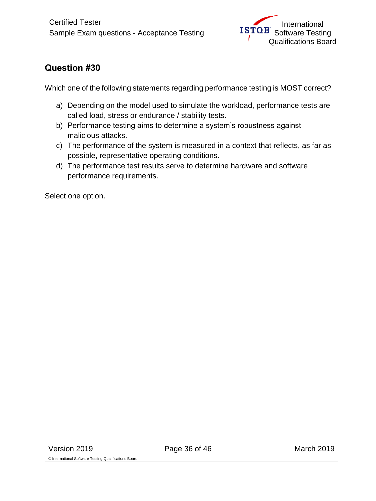<span id="page-35-0"></span>Which one of the following statements regarding performance testing is MOST correct?

- a) Depending on the model used to simulate the workload, performance tests are called load, stress or endurance / stability tests.
- b) Performance testing aims to determine a system's robustness against malicious attacks.
- c) The performance of the system is measured in a context that reflects, as far as possible, representative operating conditions.
- d) The performance test results serve to determine hardware and software performance requirements.

Select one option.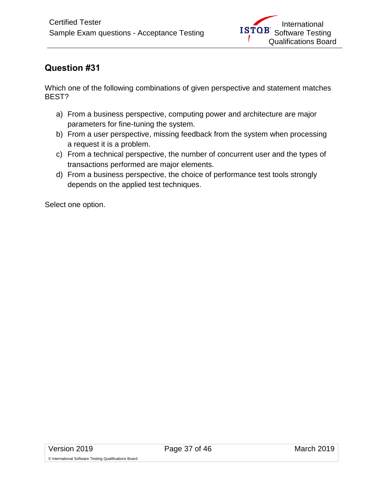<span id="page-36-0"></span>Which one of the following combinations of given perspective and statement matches BEST?

- a) From a business perspective, computing power and architecture are major parameters for fine-tuning the system.
- b) From a user perspective, missing feedback from the system when processing a request it is a problem.
- c) From a technical perspective, the number of concurrent user and the types of transactions performed are major elements.
- d) From a business perspective, the choice of performance test tools strongly depends on the applied test techniques.

Select one option.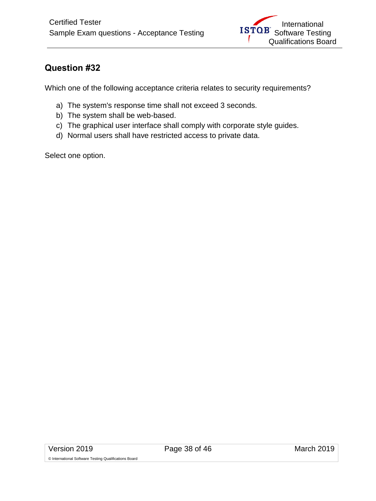<span id="page-37-0"></span>Which one of the following acceptance criteria relates to security requirements?

- a) The system's response time shall not exceed 3 seconds.
- b) The system shall be web-based.
- c) The graphical user interface shall comply with corporate style guides.
- d) Normal users shall have restricted access to private data.

Select one option.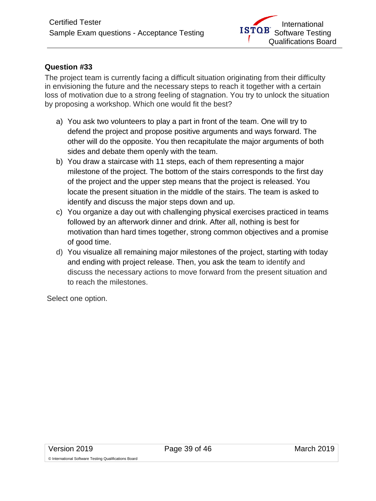<span id="page-38-0"></span>The project team is currently facing a difficult situation originating from their difficulty in envisioning the future and the necessary steps to reach it together with a certain loss of motivation due to a strong feeling of stagnation. You try to unlock the situation by proposing a workshop. Which one would fit the best?

- a) You ask two volunteers to play a part in front of the team. One will try to defend the project and propose positive arguments and ways forward. The other will do the opposite. You then recapitulate the major arguments of both sides and debate them openly with the team.
- b) You draw a staircase with 11 steps, each of them representing a major milestone of the project. The bottom of the stairs corresponds to the first day of the project and the upper step means that the project is released. You locate the present situation in the middle of the stairs. The team is asked to identify and discuss the major steps down and up.
- c) You organize a day out with challenging physical exercises practiced in teams followed by an afterwork dinner and drink. After all, nothing is best for motivation than hard times together, strong common objectives and a promise of good time.
- d) You visualize all remaining major milestones of the project, starting with today and ending with project release. Then, you ask the team to identify and discuss the necessary actions to move forward from the present situation and to reach the milestones.

Select one option.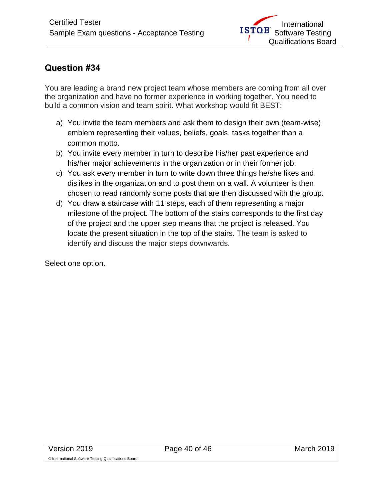<span id="page-39-0"></span>You are leading a brand new project team whose members are coming from all over the organization and have no former experience in working together. You need to build a common vision and team spirit. What workshop would fit BEST:

- a) You invite the team members and ask them to design their own (team-wise) emblem representing their values, beliefs, goals, tasks together than a common motto.
- b) You invite every member in turn to describe his/her past experience and his/her major achievements in the organization or in their former job.
- c) You ask every member in turn to write down three things he/she likes and dislikes in the organization and to post them on a wall. A volunteer is then chosen to read randomly some posts that are then discussed with the group.
- d) You draw a staircase with 11 steps, each of them representing a major milestone of the project. The bottom of the stairs corresponds to the first day of the project and the upper step means that the project is released. You locate the present situation in the top of the stairs. The team is asked to identify and discuss the major steps downwards.

Select one option.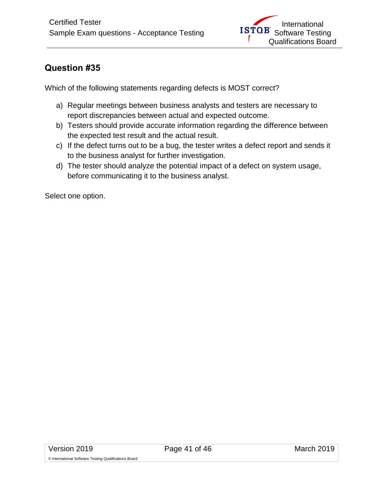<span id="page-40-0"></span>Which of the following statements regarding defects is MOST correct?

- a) Regular meetings between business analysts and testers are necessary to report discrepancies between actual and expected outcome.
- b) Testers should provide accurate information regarding the difference between the expected test result and the actual result.
- c) If the defect turns out to be a bug, the tester writes a defect report and sends it to the business analyst for further investigation.
- d) The tester should analyze the potential impact of a defect on system usage, before communicating it to the business analyst.

Select one option.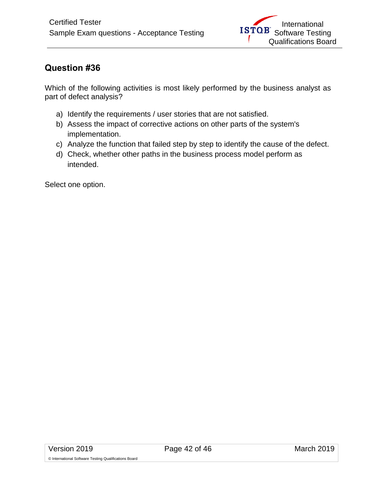<span id="page-41-0"></span>Which of the following activities is most likely performed by the business analyst as part of defect analysis?

- a) Identify the requirements / user stories that are not satisfied.
- b) Assess the impact of corrective actions on other parts of the system's implementation.
- c) Analyze the function that failed step by step to identify the cause of the defect.
- d) Check, whether other paths in the business process model perform as intended.

Select one option.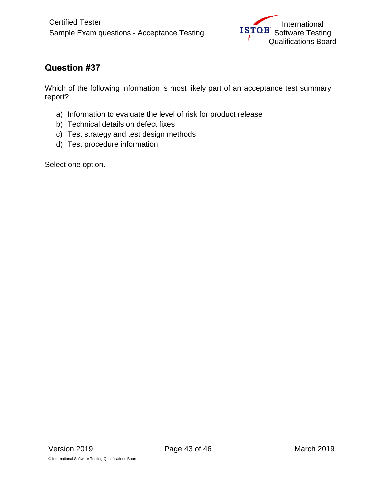<span id="page-42-0"></span>Which of the following information is most likely part of an acceptance test summary report?

- a) Information to evaluate the level of risk for product release
- b) Technical details on defect fixes
- c) Test strategy and test design methods
- d) Test procedure information

Select one option.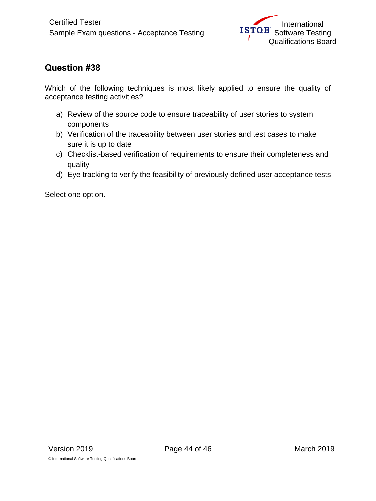<span id="page-43-0"></span>Which of the following techniques is most likely applied to ensure the quality of acceptance testing activities?

- a) Review of the source code to ensure traceability of user stories to system components
- b) Verification of the traceability between user stories and test cases to make sure it is up to date
- c) Checklist-based verification of requirements to ensure their completeness and quality
- d) Eye tracking to verify the feasibility of previously defined user acceptance tests

Select one option.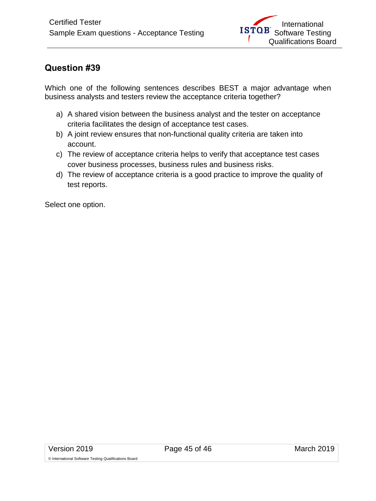<span id="page-44-0"></span>Which one of the following sentences describes BEST a major advantage when business analysts and testers review the acceptance criteria together?

- a) A shared vision between the business analyst and the tester on acceptance criteria facilitates the design of acceptance test cases.
- b) A joint review ensures that non-functional quality criteria are taken into account.
- c) The review of acceptance criteria helps to verify that acceptance test cases cover business processes, business rules and business risks.
- d) The review of acceptance criteria is a good practice to improve the quality of test reports.

Select one option.